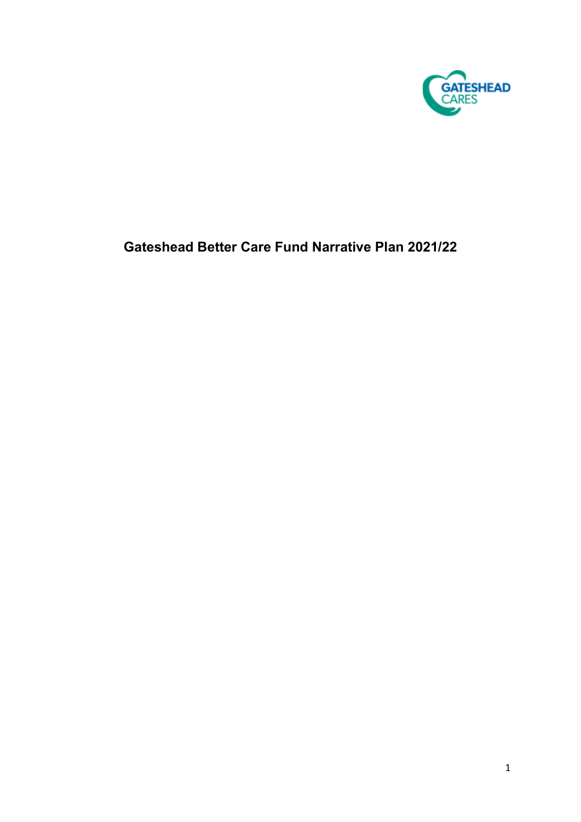

# **Gateshead Better Care Fund Narrative Plan 2021/22**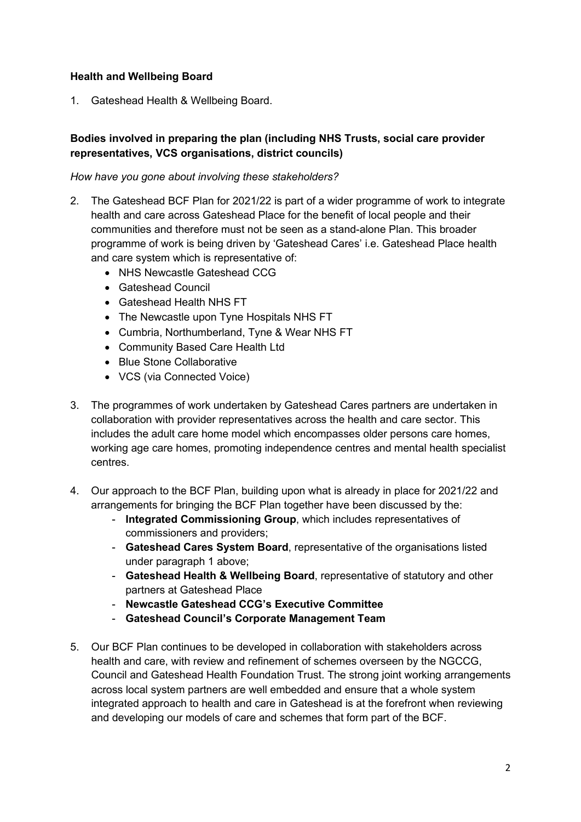## **Health and Wellbeing Board**

1. Gateshead Health & Wellbeing Board.

# **Bodies involved in preparing the plan (including NHS Trusts, social care provider representatives, VCS organisations, district councils)**

#### *How have you gone about involving these stakeholders?*

- 2. The Gateshead BCF Plan for 2021/22 is part of a wider programme of work to integrate health and care across Gateshead Place for the benefit of local people and their communities and therefore must not be seen as a stand-alone Plan. This broader programme of work is being driven by 'Gateshead Cares' i.e. Gateshead Place health and care system which is representative of:
	- NHS Newcastle Gateshead CCG
	- Gateshead Council
	- Gateshead Health NHS FT
	- The Newcastle upon Tyne Hospitals NHS FT
	- Cumbria, Northumberland, Tyne & Wear NHS FT
	- Community Based Care Health Ltd
	- Blue Stone Collaborative
	- VCS (via Connected Voice)
- 3. The programmes of work undertaken by Gateshead Cares partners are undertaken in collaboration with provider representatives across the health and care sector. This includes the adult care home model which encompasses older persons care homes, working age care homes, promoting independence centres and mental health specialist centres.
- 4. Our approach to the BCF Plan, building upon what is already in place for 2021/22 and arrangements for bringing the BCF Plan together have been discussed by the:
	- **Integrated Commissioning Group**, which includes representatives of commissioners and providers;
	- **Gateshead Cares System Board**, representative of the organisations listed under paragraph 1 above;
	- **Gateshead Health & Wellbeing Board**, representative of statutory and other partners at Gateshead Place
	- **Newcastle Gateshead CCG's Executive Committee**
	- **Gateshead Council's Corporate Management Team**
- 5. Our BCF Plan continues to be developed in collaboration with stakeholders across health and care, with review and refinement of schemes overseen by the NGCCG, Council and Gateshead Health Foundation Trust. The strong joint working arrangements across local system partners are well embedded and ensure that a whole system integrated approach to health and care in Gateshead is at the forefront when reviewing and developing our models of care and schemes that form part of the BCF.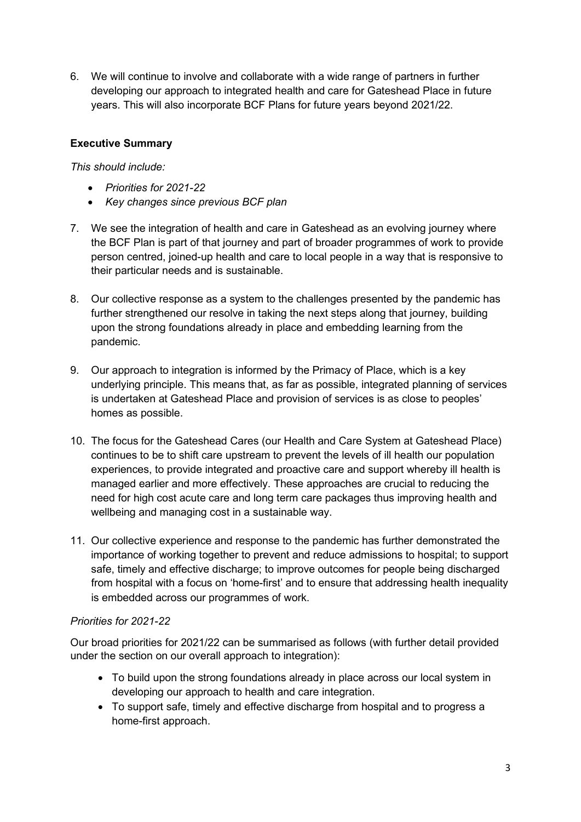6. We will continue to involve and collaborate with a wide range of partners in further developing our approach to integrated health and care for Gateshead Place in future years. This will also incorporate BCF Plans for future years beyond 2021/22.

# **Executive Summary**

#### *This should include:*

- *Priorities for 2021-22*
- *Key changes since previous BCF plan*
- 7. We see the integration of health and care in Gateshead as an evolving journey where the BCF Plan is part of that journey and part of broader programmes of work to provide person centred, joined-up health and care to local people in a way that is responsive to their particular needs and is sustainable.
- 8. Our collective response as a system to the challenges presented by the pandemic has further strengthened our resolve in taking the next steps along that journey, building upon the strong foundations already in place and embedding learning from the pandemic.
- 9. Our approach to integration is informed by the Primacy of Place, which is a key underlying principle. This means that, as far as possible, integrated planning of services is undertaken at Gateshead Place and provision of services is as close to peoples' homes as possible.
- 10. The focus for the Gateshead Cares (our Health and Care System at Gateshead Place) continues to be to shift care upstream to prevent the levels of ill health our population experiences, to provide integrated and proactive care and support whereby ill health is managed earlier and more effectively. These approaches are crucial to reducing the need for high cost acute care and long term care packages thus improving health and wellbeing and managing cost in a sustainable way.
- 11. Our collective experience and response to the pandemic has further demonstrated the importance of working together to prevent and reduce admissions to hospital; to support safe, timely and effective discharge; to improve outcomes for people being discharged from hospital with a focus on 'home-first' and to ensure that addressing health inequality is embedded across our programmes of work.

## *Priorities for 2021-22*

Our broad priorities for 2021/22 can be summarised as follows (with further detail provided under the section on our overall approach to integration):

- To build upon the strong foundations already in place across our local system in developing our approach to health and care integration.
- To support safe, timely and effective discharge from hospital and to progress a home-first approach.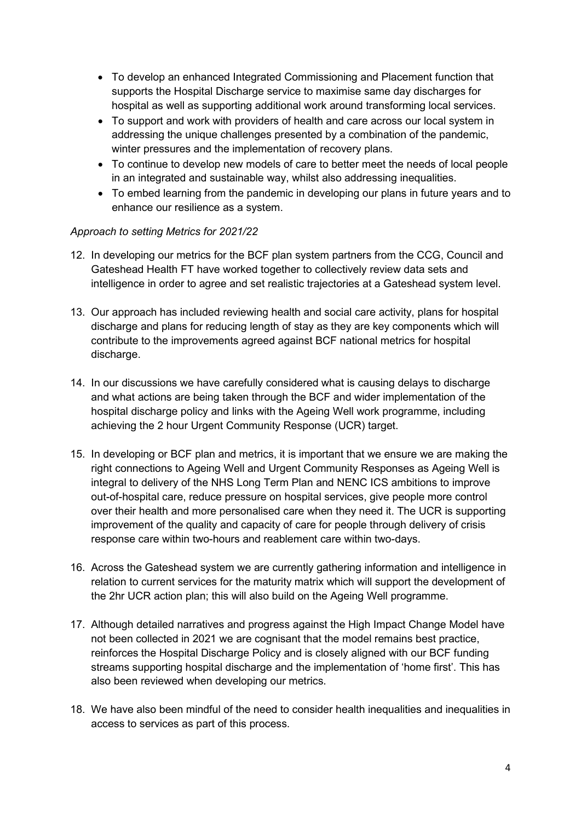- To develop an enhanced Integrated Commissioning and Placement function that supports the Hospital Discharge service to maximise same day discharges for hospital as well as supporting additional work around transforming local services.
- To support and work with providers of health and care across our local system in addressing the unique challenges presented by a combination of the pandemic, winter pressures and the implementation of recovery plans.
- To continue to develop new models of care to better meet the needs of local people in an integrated and sustainable way, whilst also addressing inequalities.
- To embed learning from the pandemic in developing our plans in future years and to enhance our resilience as a system.

## *Approach to setting Metrics for 2021/22*

- 12. In developing our metrics for the BCF plan system partners from the CCG, Council and Gateshead Health FT have worked together to collectively review data sets and intelligence in order to agree and set realistic trajectories at a Gateshead system level.
- 13. Our approach has included reviewing health and social care activity, plans for hospital discharge and plans for reducing length of stay as they are key components which will contribute to the improvements agreed against BCF national metrics for hospital discharge.
- 14. In our discussions we have carefully considered what is causing delays to discharge and what actions are being taken through the BCF and wider implementation of the hospital discharge policy and links with the Ageing Well work programme, including achieving the 2 hour Urgent Community Response (UCR) target.
- 15. In developing or BCF plan and metrics, it is important that we ensure we are making the right connections to Ageing Well and Urgent Community Responses as Ageing Well is integral to delivery of the NHS Long Term Plan and NENC ICS ambitions to improve out-of-hospital care, reduce pressure on hospital services, give people more control over their health and more personalised care when they need it. The UCR is supporting improvement of the quality and capacity of care for people through delivery of crisis response care within two-hours and reablement care within two-days.
- 16. Across the Gateshead system we are currently gathering information and intelligence in relation to current services for the maturity matrix which will support the development of the 2hr UCR action plan; this will also build on the Ageing Well programme.
- 17. Although detailed narratives and progress against the High Impact Change Model have not been collected in 2021 we are cognisant that the model remains best practice, reinforces the Hospital Discharge Policy and is closely aligned with our BCF funding streams supporting hospital discharge and the implementation of 'home first'. This has also been reviewed when developing our metrics.
- 18. We have also been mindful of the need to consider health inequalities and inequalities in access to services as part of this process.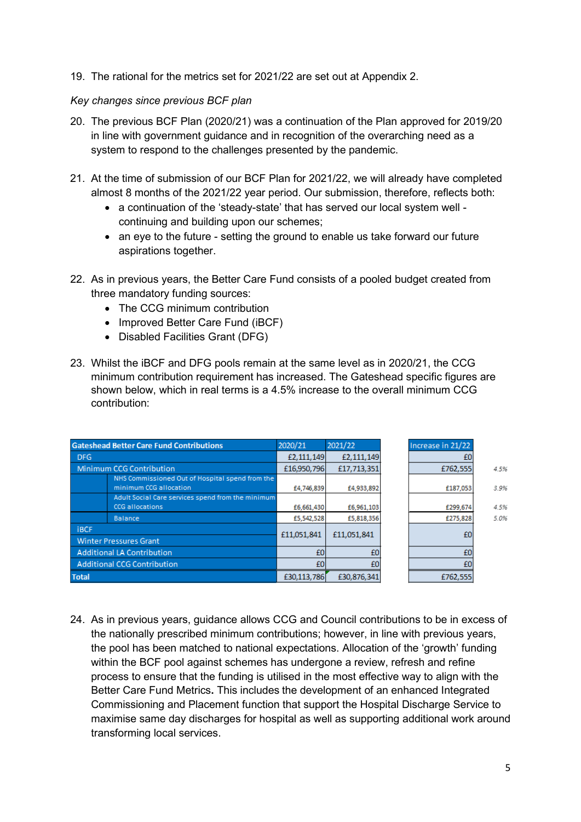19. The rational for the metrics set for 2021/22 are set out at Appendix 2.

#### *Key changes since previous BCF plan*

- 20. The previous BCF Plan (2020/21) was a continuation of the Plan approved for 2019/20 in line with government guidance and in recognition of the overarching need as a system to respond to the challenges presented by the pandemic.
- 21. At the time of submission of our BCF Plan for 2021/22, we will already have completed almost 8 months of the 2021/22 year period. Our submission, therefore, reflects both:
	- a continuation of the 'steady-state' that has served our local system well continuing and building upon our schemes;
	- an eye to the future setting the ground to enable us take forward our future aspirations together.
- 22. As in previous years, the Better Care Fund consists of a pooled budget created from three mandatory funding sources:
	- The CCG minimum contribution
	- Improved Better Care Fund (iBCF)
	- Disabled Facilities Grant (DFG)
- 23. Whilst the iBCF and DFG pools remain at the same level as in 2020/21, the CCG minimum contribution requirement has increased. The Gateshead specific figures are shown below, which in real terms is a 4.5% increase to the overall minimum CCG contribution:

| <b>Gateshead Better Care Fund Contributions</b> |                                                                             | 2020/21     | 2021/22     | Increase in 21/22 |      |
|-------------------------------------------------|-----------------------------------------------------------------------------|-------------|-------------|-------------------|------|
| <b>DFG</b>                                      |                                                                             | £2,111,149  | £2,111,149  |                   |      |
| <b>Minimum CCG Contribution</b>                 |                                                                             | £16,950,796 | £17,713,351 | £762,555          | 4.5% |
|                                                 | NHS Commissioned Out of Hospital spend from the<br>minimum CCG allocation   | £4,746,839  | £4,933,892  | £187,053          | 3.9% |
|                                                 | Adult Social Care services spend from the minimum<br><b>CCG allocations</b> | £6,661,430  | £6,961,103  | £299,674          | 4.5% |
|                                                 | <b>Balance</b>                                                              | £5,542,528  | £5,818,356  | £275,828          | 5.0% |
| <b>iBCF</b><br><b>Winter Pressures Grant</b>    |                                                                             | £11,051,841 | £11,051,841 | £0                |      |
| <b>Additional LA Contribution</b>               |                                                                             | £0          | £0          | £0                |      |
| <b>Additional CCG Contribution</b>              |                                                                             | £0          | £0          | £٥                |      |
| <b>Total</b>                                    |                                                                             | £30,113,786 | £30,876,341 | £762,555          |      |

24. As in previous years, guidance allows CCG and Council contributions to be in excess of the nationally prescribed minimum contributions; however, in line with previous years, the pool has been matched to national expectations. Allocation of the 'growth' funding within the BCF pool against schemes has undergone a review, refresh and refine process to ensure that the funding is utilised in the most effective way to align with the Better Care Fund Metrics**.** This includes the development of an enhanced Integrated Commissioning and Placement function that support the Hospital Discharge Service to maximise same day discharges for hospital as well as supporting additional work around transforming local services.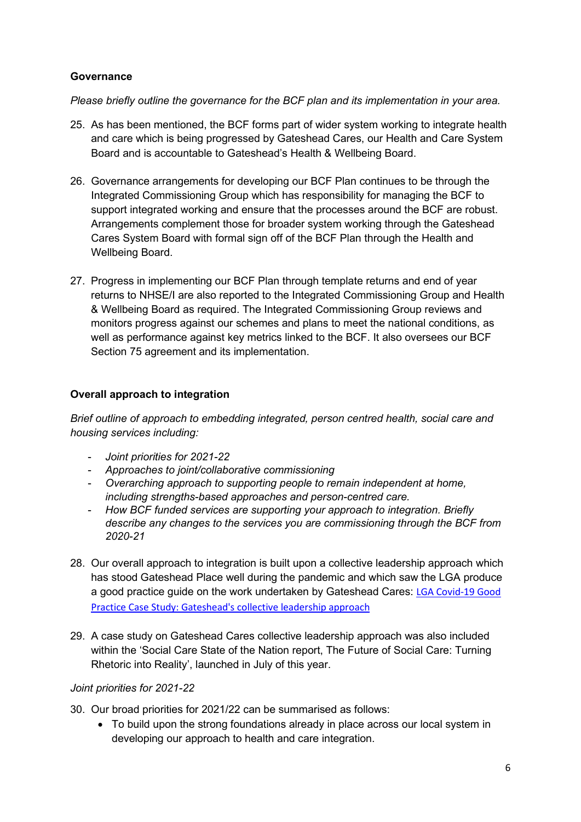## **Governance**

*Please briefly outline the governance for the BCF plan and its implementation in your area.*

- 25. As has been mentioned, the BCF forms part of wider system working to integrate health and care which is being progressed by Gateshead Cares, our Health and Care System Board and is accountable to Gateshead's Health & Wellbeing Board.
- 26. Governance arrangements for developing our BCF Plan continues to be through the Integrated Commissioning Group which has responsibility for managing the BCF to support integrated working and ensure that the processes around the BCF are robust. Arrangements complement those for broader system working through the Gateshead Cares System Board with formal sign off of the BCF Plan through the Health and Wellbeing Board.
- 27. Progress in implementing our BCF Plan through template returns and end of year returns to NHSE/I are also reported to the Integrated Commissioning Group and Health & Wellbeing Board as required. The Integrated Commissioning Group reviews and monitors progress against our schemes and plans to meet the national conditions, as well as performance against key metrics linked to the BCF. It also oversees our BCF Section 75 agreement and its implementation.

## **Overall approach to integration**

*Brief outline of approach to embedding integrated, person centred health, social care and housing services including:*

- *Joint priorities for 2021-22*
- *Approaches to joint/collaborative commissioning*
- *Overarching approach to supporting people to remain independent at home, including strengths-based approaches and person-centred care.*
- *How BCF funded services are supporting your approach to integration. Briefly describe any changes to the services you are commissioning through the BCF from 2020-21*
- 28. Our overall approach to integration is built upon a collective leadership approach which has stood Gateshead Place well during the pandemic and which saw the LGA produce a good practice guide on the work undertaken by Gateshead Cares: [LGA Covid-19 Good](https://www.local.gov.uk/case-studies/covid-19-good-practice-case-study-gatesheads-collective-leadership-approach)  [Practice Case Study: Gateshead's collective leadership approach](https://www.local.gov.uk/case-studies/covid-19-good-practice-case-study-gatesheads-collective-leadership-approach)
- 29. A case study on Gateshead Cares collective leadership approach was also included within the 'Social Care State of the Nation report, The Future of Social Care: Turning Rhetoric into Reality', launched in July of this year.

#### *Joint priorities for 2021-22*

- 30. Our broad priorities for 2021/22 can be summarised as follows:
	- To build upon the strong foundations already in place across our local system in developing our approach to health and care integration.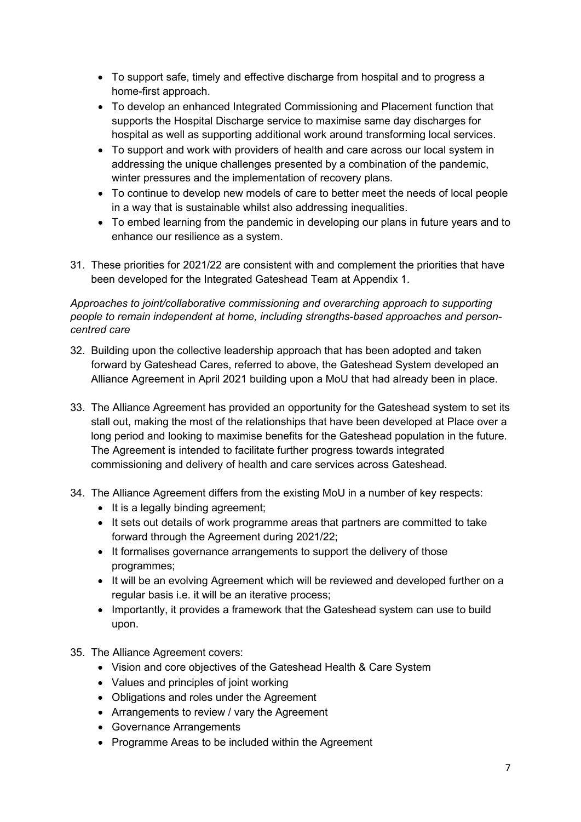- To support safe, timely and effective discharge from hospital and to progress a home-first approach.
- To develop an enhanced Integrated Commissioning and Placement function that supports the Hospital Discharge service to maximise same day discharges for hospital as well as supporting additional work around transforming local services.
- To support and work with providers of health and care across our local system in addressing the unique challenges presented by a combination of the pandemic, winter pressures and the implementation of recovery plans.
- To continue to develop new models of care to better meet the needs of local people in a way that is sustainable whilst also addressing inequalities.
- To embed learning from the pandemic in developing our plans in future years and to enhance our resilience as a system.
- 31. These priorities for 2021/22 are consistent with and complement the priorities that have been developed for the Integrated Gateshead Team at Appendix 1.

## *Approaches to joint/collaborative commissioning and overarching approach to supporting people to remain independent at home, including strengths-based approaches and personcentred care*

- 32. Building upon the collective leadership approach that has been adopted and taken forward by Gateshead Cares, referred to above, the Gateshead System developed an Alliance Agreement in April 2021 building upon a MoU that had already been in place.
- 33. The Alliance Agreement has provided an opportunity for the Gateshead system to set its stall out, making the most of the relationships that have been developed at Place over a long period and looking to maximise benefits for the Gateshead population in the future. The Agreement is intended to facilitate further progress towards integrated commissioning and delivery of health and care services across Gateshead.
- 34. The Alliance Agreement differs from the existing MoU in a number of key respects:
	- It is a legally binding agreement;
	- It sets out details of work programme areas that partners are committed to take forward through the Agreement during 2021/22;
	- It formalises governance arrangements to support the delivery of those programmes;
	- It will be an evolving Agreement which will be reviewed and developed further on a regular basis i.e. it will be an iterative process;
	- Importantly, it provides a framework that the Gateshead system can use to build upon.
- 35. The Alliance Agreement covers:
	- Vision and core objectives of the Gateshead Health & Care System
	- Values and principles of joint working
	- Obligations and roles under the Agreement
	- Arrangements to review / vary the Agreement
	- Governance Arrangements
	- Programme Areas to be included within the Agreement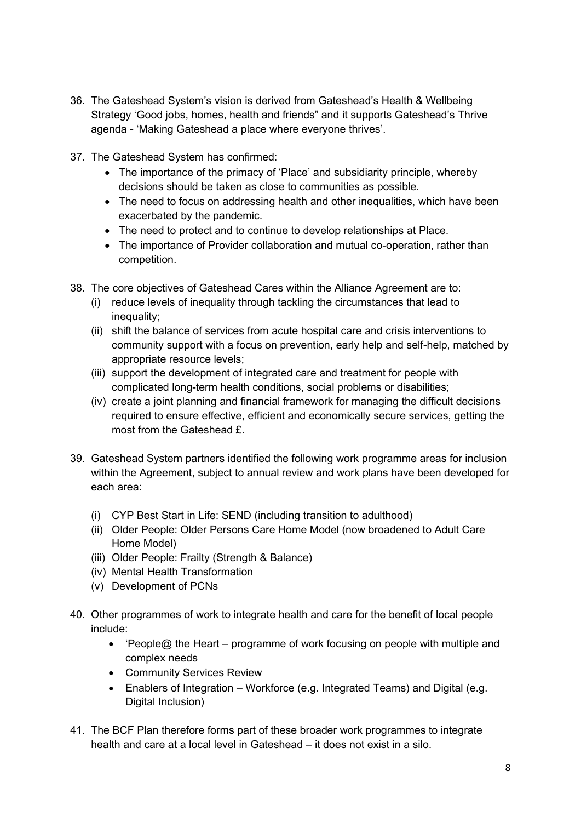- 36. The Gateshead System's vision is derived from Gateshead's Health & Wellbeing Strategy 'Good jobs, homes, health and friends" and it supports Gateshead's Thrive agenda - 'Making Gateshead a place where everyone thrives'.
- 37. The Gateshead System has confirmed:
	- The importance of the primacy of 'Place' and subsidiarity principle, whereby decisions should be taken as close to communities as possible.
	- The need to focus on addressing health and other inequalities, which have been exacerbated by the pandemic.
	- The need to protect and to continue to develop relationships at Place.
	- The importance of Provider collaboration and mutual co-operation, rather than competition.
- 38. The core objectives of Gateshead Cares within the Alliance Agreement are to:
	- (i) reduce levels of inequality through tackling the circumstances that lead to inequality;
	- (ii) shift the balance of services from acute hospital care and crisis interventions to community support with a focus on prevention, early help and self-help, matched by appropriate resource levels;
	- (iii) support the development of integrated care and treatment for people with complicated long-term health conditions, social problems or disabilities;
	- (iv) create a joint planning and financial framework for managing the difficult decisions required to ensure effective, efficient and economically secure services, getting the most from the Gateshead £.
- 39. Gateshead System partners identified the following work programme areas for inclusion within the Agreement, subject to annual review and work plans have been developed for each area:
	- (i) CYP Best Start in Life: SEND (including transition to adulthood)
	- (ii) Older People: Older Persons Care Home Model (now broadened to Adult Care Home Model)
	- (iii) Older People: Frailty (Strength & Balance)
	- (iv) Mental Health Transformation
	- (v) Development of PCNs
- 40. Other programmes of work to integrate health and care for the benefit of local people include:
	- 'People@ the Heart programme of work focusing on people with multiple and complex needs
	- Community Services Review
	- Enablers of Integration Workforce (e.g. Integrated Teams) and Digital (e.g. Digital Inclusion)
- 41. The BCF Plan therefore forms part of these broader work programmes to integrate health and care at a local level in Gateshead – it does not exist in a silo.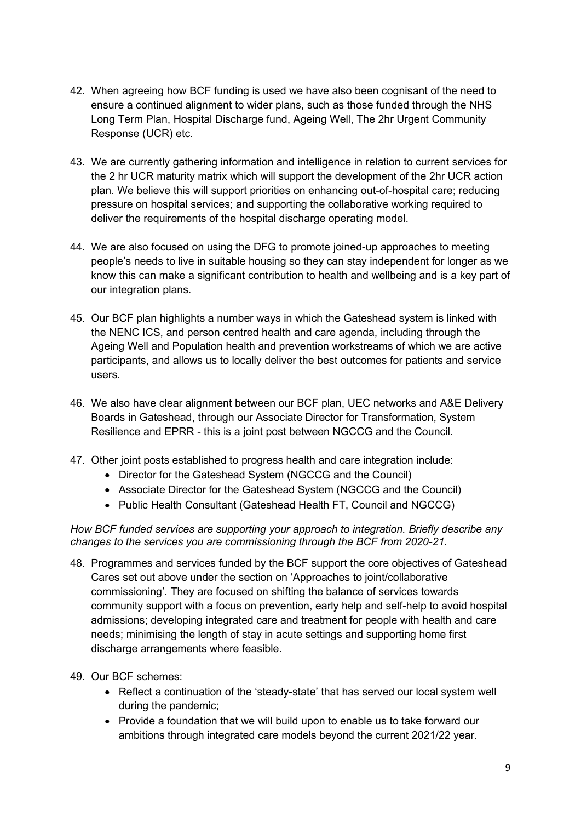- 42. When agreeing how BCF funding is used we have also been cognisant of the need to ensure a continued alignment to wider plans, such as those funded through the NHS Long Term Plan, Hospital Discharge fund, Ageing Well, The 2hr Urgent Community Response (UCR) etc.
- 43. We are currently gathering information and intelligence in relation to current services for the 2 hr UCR maturity matrix which will support the development of the 2hr UCR action plan. We believe this will support priorities on enhancing out-of-hospital care; reducing pressure on hospital services; and supporting the collaborative working required to deliver the requirements of the hospital discharge operating model.
- 44. We are also focused on using the DFG to promote joined-up approaches to meeting people's needs to live in suitable housing so they can stay independent for longer as we know this can make a significant contribution to health and wellbeing and is a key part of our integration plans.
- 45. Our BCF plan highlights a number ways in which the Gateshead system is linked with the NENC ICS, and person centred health and care agenda, including through the Ageing Well and Population health and prevention workstreams of which we are active participants, and allows us to locally deliver the best outcomes for patients and service users.
- 46. We also have clear alignment between our BCF plan, UEC networks and A&E Delivery Boards in Gateshead, through our Associate Director for Transformation, System Resilience and EPRR - this is a joint post between NGCCG and the Council.
- 47. Other joint posts established to progress health and care integration include:
	- Director for the Gateshead System (NGCCG and the Council)
	- Associate Director for the Gateshead System (NGCCG and the Council)
	- Public Health Consultant (Gateshead Health FT, Council and NGCCG)

*How BCF funded services are supporting your approach to integration. Briefly describe any changes to the services you are commissioning through the BCF from 2020-21.*

- 48. Programmes and services funded by the BCF support the core objectives of Gateshead Cares set out above under the section on 'Approaches to joint/collaborative commissioning'. They are focused on shifting the balance of services towards community support with a focus on prevention, early help and self-help to avoid hospital admissions; developing integrated care and treatment for people with health and care needs; minimising the length of stay in acute settings and supporting home first discharge arrangements where feasible.
- 49. Our BCF schemes:
	- Reflect a continuation of the 'steady-state' that has served our local system well during the pandemic;
	- Provide a foundation that we will build upon to enable us to take forward our ambitions through integrated care models beyond the current 2021/22 year.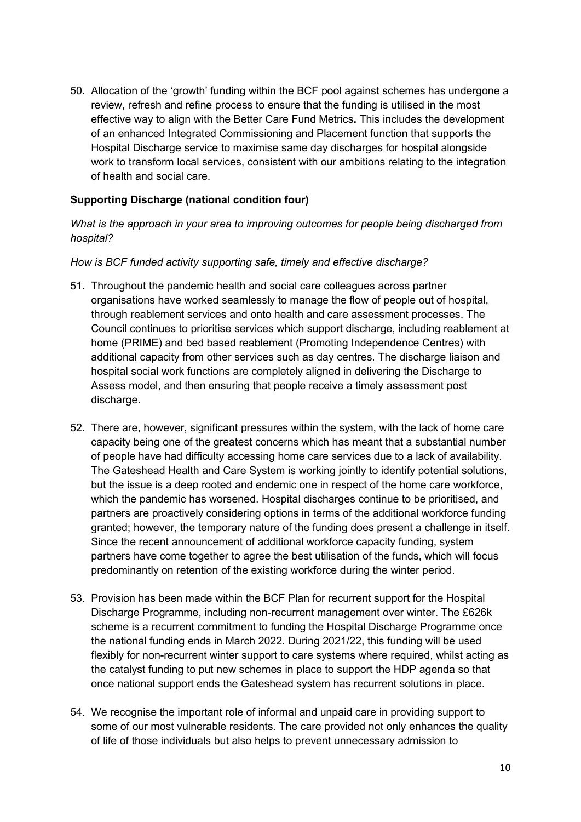50. Allocation of the 'growth' funding within the BCF pool against schemes has undergone a review, refresh and refine process to ensure that the funding is utilised in the most effective way to align with the Better Care Fund Metrics**.** This includes the development of an enhanced Integrated Commissioning and Placement function that supports the Hospital Discharge service to maximise same day discharges for hospital alongside work to transform local services, consistent with our ambitions relating to the integration of health and social care.

#### **Supporting Discharge (national condition four)**

#### *What is the approach in your area to improving outcomes for people being discharged from hospital?*

#### *How is BCF funded activity supporting safe, timely and effective discharge?*

- 51. Throughout the pandemic health and social care colleagues across partner organisations have worked seamlessly to manage the flow of people out of hospital, through reablement services and onto health and care assessment processes. The Council continues to prioritise services which support discharge, including reablement at home (PRIME) and bed based reablement (Promoting Independence Centres) with additional capacity from other services such as day centres. The discharge liaison and hospital social work functions are completely aligned in delivering the Discharge to Assess model, and then ensuring that people receive a timely assessment post discharge.
- 52. There are, however, significant pressures within the system, with the lack of home care capacity being one of the greatest concerns which has meant that a substantial number of people have had difficulty accessing home care services due to a lack of availability. The Gateshead Health and Care System is working jointly to identify potential solutions, but the issue is a deep rooted and endemic one in respect of the home care workforce, which the pandemic has worsened. Hospital discharges continue to be prioritised, and partners are proactively considering options in terms of the additional workforce funding granted; however, the temporary nature of the funding does present a challenge in itself. Since the recent announcement of additional workforce capacity funding, system partners have come together to agree the best utilisation of the funds, which will focus predominantly on retention of the existing workforce during the winter period.
- 53. Provision has been made within the BCF Plan for recurrent support for the Hospital Discharge Programme, including non-recurrent management over winter. The £626k scheme is a recurrent commitment to funding the Hospital Discharge Programme once the national funding ends in March 2022. During 2021/22, this funding will be used flexibly for non-recurrent winter support to care systems where required, whilst acting as the catalyst funding to put new schemes in place to support the HDP agenda so that once national support ends the Gateshead system has recurrent solutions in place.
- 54. We recognise the important role of informal and unpaid care in providing support to some of our most vulnerable residents. The care provided not only enhances the quality of life of those individuals but also helps to prevent unnecessary admission to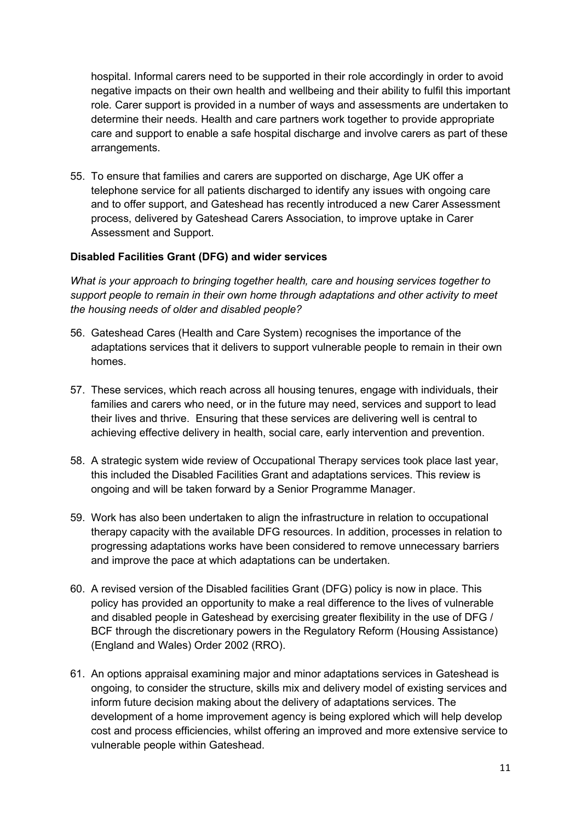hospital. Informal carers need to be supported in their role accordingly in order to avoid negative impacts on their own health and wellbeing and their ability to fulfil this important role*.* Carer support is provided in a number of ways and assessments are undertaken to determine their needs. Health and care partners work together to provide appropriate care and support to enable a safe hospital discharge and involve carers as part of these arrangements.

55. To ensure that families and carers are supported on discharge, Age UK offer a telephone service for all patients discharged to identify any issues with ongoing care and to offer support, and Gateshead has recently introduced a new Carer Assessment process, delivered by Gateshead Carers Association, to improve uptake in Carer Assessment and Support.

#### **Disabled Facilities Grant (DFG) and wider services**

*What is your approach to bringing together health, care and housing services together to support people to remain in their own home through adaptations and other activity to meet the housing needs of older and disabled people?*

- 56. Gateshead Cares (Health and Care System) recognises the importance of the adaptations services that it delivers to support vulnerable people to remain in their own homes.
- 57. These services, which reach across all housing tenures, engage with individuals, their families and carers who need, or in the future may need, services and support to lead their lives and thrive. Ensuring that these services are delivering well is central to achieving effective delivery in health, social care, early intervention and prevention.
- 58. A strategic system wide review of Occupational Therapy services took place last year, this included the Disabled Facilities Grant and adaptations services. This review is ongoing and will be taken forward by a Senior Programme Manager.
- 59. Work has also been undertaken to align the infrastructure in relation to occupational therapy capacity with the available DFG resources. In addition, processes in relation to progressing adaptations works have been considered to remove unnecessary barriers and improve the pace at which adaptations can be undertaken.
- 60. A revised version of the Disabled facilities Grant (DFG) policy is now in place. This policy has provided an opportunity to make a real difference to the lives of vulnerable and disabled people in Gateshead by exercising greater flexibility in the use of DFG / BCF through the discretionary powers in the Regulatory Reform (Housing Assistance) (England and Wales) Order 2002 (RRO).
- 61. An options appraisal examining major and minor adaptations services in Gateshead is ongoing, to consider the structure, skills mix and delivery model of existing services and inform future decision making about the delivery of adaptations services. The development of a home improvement agency is being explored which will help develop cost and process efficiencies, whilst offering an improved and more extensive service to vulnerable people within Gateshead.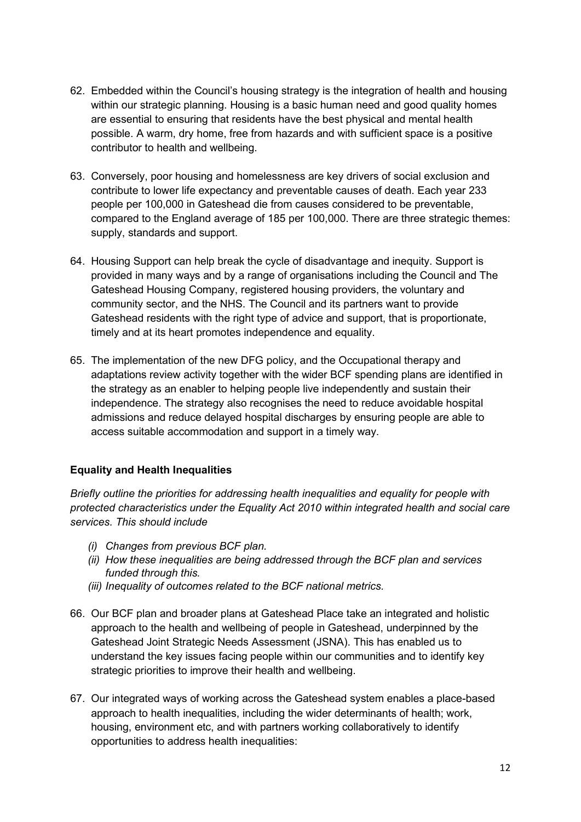- 62. Embedded within the Council's housing strategy is the integration of health and housing within our strategic planning. Housing is a basic human need and good quality homes are essential to ensuring that residents have the best physical and mental health possible. A warm, dry home, free from hazards and with sufficient space is a positive contributor to health and wellbeing.
- 63. Conversely, poor housing and homelessness are key drivers of social exclusion and contribute to lower life expectancy and preventable causes of death. Each year 233 people per 100,000 in Gateshead die from causes considered to be preventable, compared to the England average of 185 per 100,000. There are three strategic themes: supply, standards and support.
- 64. Housing Support can help break the cycle of disadvantage and inequity. Support is provided in many ways and by a range of organisations including the Council and The Gateshead Housing Company, registered housing providers, the voluntary and community sector, and the NHS. The Council and its partners want to provide Gateshead residents with the right type of advice and support, that is proportionate, timely and at its heart promotes independence and equality.
- 65. The implementation of the new DFG policy, and the Occupational therapy and adaptations review activity together with the wider BCF spending plans are identified in the strategy as an enabler to helping people live independently and sustain their independence. The strategy also recognises the need to reduce avoidable hospital admissions and reduce delayed hospital discharges by ensuring people are able to access suitable accommodation and support in a timely way.

## **Equality and Health Inequalities**

*Briefly outline the priorities for addressing health inequalities and equality for people with protected characteristics under the Equality Act 2010 within integrated health and social care services. This should include*

- *(i) Changes from previous BCF plan.*
- *(ii) How these inequalities are being addressed through the BCF plan and services funded through this.*
- *(iii) Inequality of outcomes related to the BCF national metrics.*
- 66. Our BCF plan and broader plans at Gateshead Place take an integrated and holistic approach to the health and wellbeing of people in Gateshead, underpinned by the Gateshead Joint Strategic Needs Assessment (JSNA). This has enabled us to understand the key issues facing people within our communities and to identify key strategic priorities to improve their health and wellbeing.
- 67. Our integrated ways of working across the Gateshead system enables a place-based approach to health inequalities, including the wider determinants of health; work, housing, environment etc, and with partners working collaboratively to identify opportunities to address health inequalities: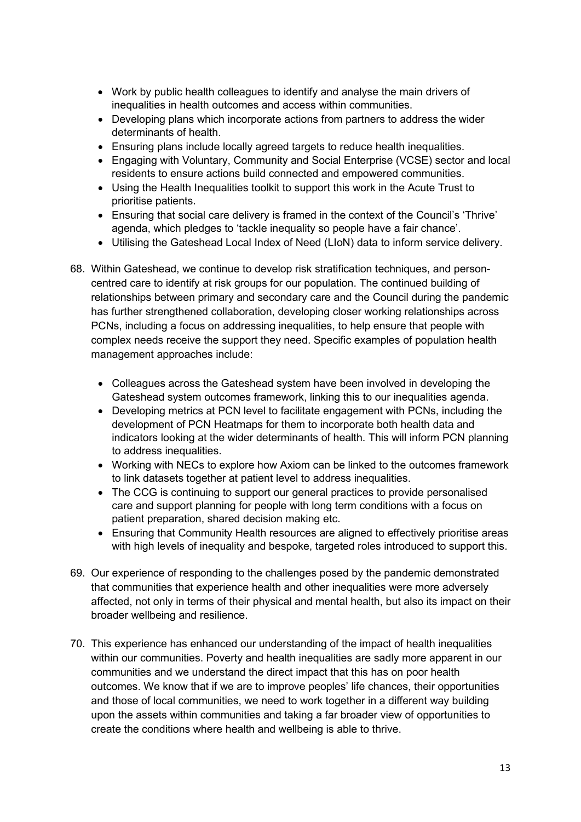- Work by public health colleagues to identify and analyse the main drivers of inequalities in health outcomes and access within communities.
- Developing plans which incorporate actions from partners to address the wider determinants of health.
- Ensuring plans include locally agreed targets to reduce health inequalities.
- Engaging with Voluntary, Community and Social Enterprise (VCSE) sector and local residents to ensure actions build connected and empowered communities.
- Using the Health Inequalities toolkit to support this work in the Acute Trust to prioritise patients.
- Ensuring that social care delivery is framed in the context of the Council's 'Thrive' agenda, which pledges to 'tackle inequality so people have a fair chance'.
- Utilising the Gateshead Local Index of Need (LIoN) data to inform service delivery.
- 68. Within Gateshead, we continue to develop risk stratification techniques, and personcentred care to identify at risk groups for our population. The continued building of relationships between primary and secondary care and the Council during the pandemic has further strengthened collaboration, developing closer working relationships across PCNs, including a focus on addressing inequalities, to help ensure that people with complex needs receive the support they need. Specific examples of population health management approaches include:
	- Colleagues across the Gateshead system have been involved in developing the Gateshead system outcomes framework, linking this to our inequalities agenda.
	- Developing metrics at PCN level to facilitate engagement with PCNs, including the development of PCN Heatmaps for them to incorporate both health data and indicators looking at the wider determinants of health. This will inform PCN planning to address inequalities.
	- Working with NECs to explore how Axiom can be linked to the outcomes framework to link datasets together at patient level to address inequalities.
	- The CCG is continuing to support our general practices to provide personalised care and support planning for people with long term conditions with a focus on patient preparation, shared decision making etc.
	- Ensuring that Community Health resources are aligned to effectively prioritise areas with high levels of inequality and bespoke, targeted roles introduced to support this.
- 69. Our experience of responding to the challenges posed by the pandemic demonstrated that communities that experience health and other inequalities were more adversely affected, not only in terms of their physical and mental health, but also its impact on their broader wellbeing and resilience.
- 70. This experience has enhanced our understanding of the impact of health inequalities within our communities. Poverty and health inequalities are sadly more apparent in our communities and we understand the direct impact that this has on poor health outcomes. We know that if we are to improve peoples' life chances, their opportunities and those of local communities, we need to work together in a different way building upon the assets within communities and taking a far broader view of opportunities to create the conditions where health and wellbeing is able to thrive.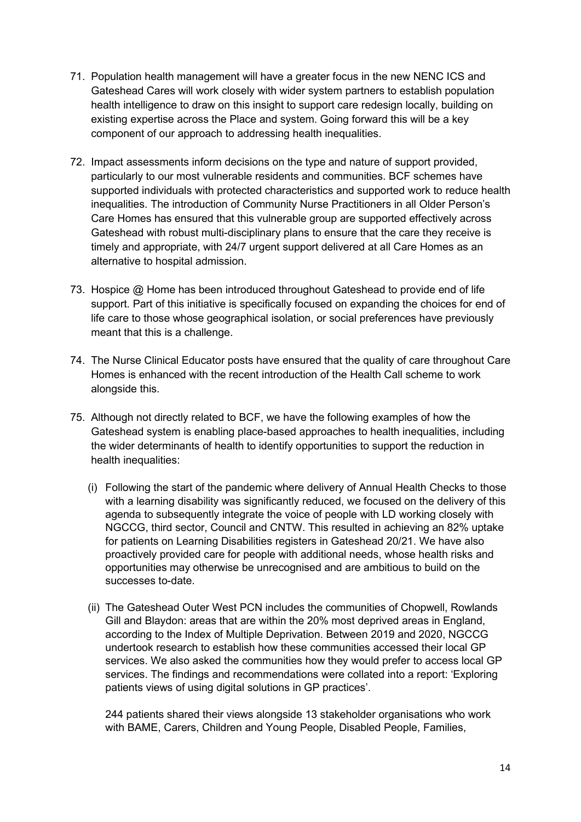- 71. Population health management will have a greater focus in the new NENC ICS and Gateshead Cares will work closely with wider system partners to establish population health intelligence to draw on this insight to support care redesign locally, building on existing expertise across the Place and system. Going forward this will be a key component of our approach to addressing health inequalities.
- 72. Impact assessments inform decisions on the type and nature of support provided, particularly to our most vulnerable residents and communities. BCF schemes have supported individuals with protected characteristics and supported work to reduce health inequalities. The introduction of Community Nurse Practitioners in all Older Person's Care Homes has ensured that this vulnerable group are supported effectively across Gateshead with robust multi-disciplinary plans to ensure that the care they receive is timely and appropriate, with 24/7 urgent support delivered at all Care Homes as an alternative to hospital admission.
- 73. Hospice @ Home has been introduced throughout Gateshead to provide end of life support. Part of this initiative is specifically focused on expanding the choices for end of life care to those whose geographical isolation, or social preferences have previously meant that this is a challenge.
- 74. The Nurse Clinical Educator posts have ensured that the quality of care throughout Care Homes is enhanced with the recent introduction of the Health Call scheme to work alongside this.
- 75. Although not directly related to BCF, we have the following examples of how the Gateshead system is enabling place-based approaches to health inequalities, including the wider determinants of health to identify opportunities to support the reduction in health inequalities:
	- (i) Following the start of the pandemic where delivery of Annual Health Checks to those with a learning disability was significantly reduced, we focused on the delivery of this agenda to subsequently integrate the voice of people with LD working closely with NGCCG, third sector, Council and CNTW. This resulted in achieving an 82% uptake for patients on Learning Disabilities registers in Gateshead 20/21. We have also proactively provided care for people with additional needs, whose health risks and opportunities may otherwise be unrecognised and are ambitious to build on the successes to-date.
	- (ii) The Gateshead Outer West PCN includes the communities of Chopwell, Rowlands Gill and Blaydon: areas that are within the 20% most deprived areas in England, according to the Index of Multiple Deprivation. Between 2019 and 2020, NGCCG undertook research to establish how these communities accessed their local GP services. We also asked the communities how they would prefer to access local GP services. The findings and recommendations were collated into a report: 'Exploring patients views of using digital solutions in GP practices'.

244 patients shared their views alongside 13 stakeholder organisations who work with BAME, Carers, Children and Young People, Disabled People, Families,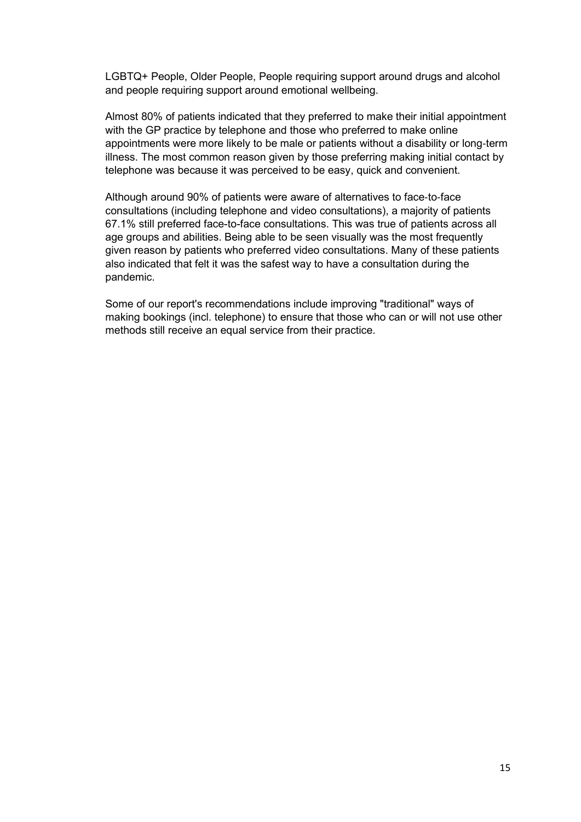LGBTQ+ People, Older People, People requiring support around drugs and alcohol and people requiring support around emotional wellbeing.

Almost 80% of patients indicated that they preferred to make their initial appointment with the GP practice by telephone and those who preferred to make online appointments were more likely to be male or patients without a disability or long‐term illness. The most common reason given by those preferring making initial contact by telephone was because it was perceived to be easy, quick and convenient.

Although around 90% of patients were aware of alternatives to face‐to‐face consultations (including telephone and video consultations), a majority of patients 67.1% still preferred face-to-face consultations. This was true of patients across all age groups and abilities. Being able to be seen visually was the most frequently given reason by patients who preferred video consultations. Many of these patients also indicated that felt it was the safest way to have a consultation during the pandemic.

Some of our report's recommendations include improving "traditional" ways of making bookings (incl. telephone) to ensure that those who can or will not use other methods still receive an equal service from their practice.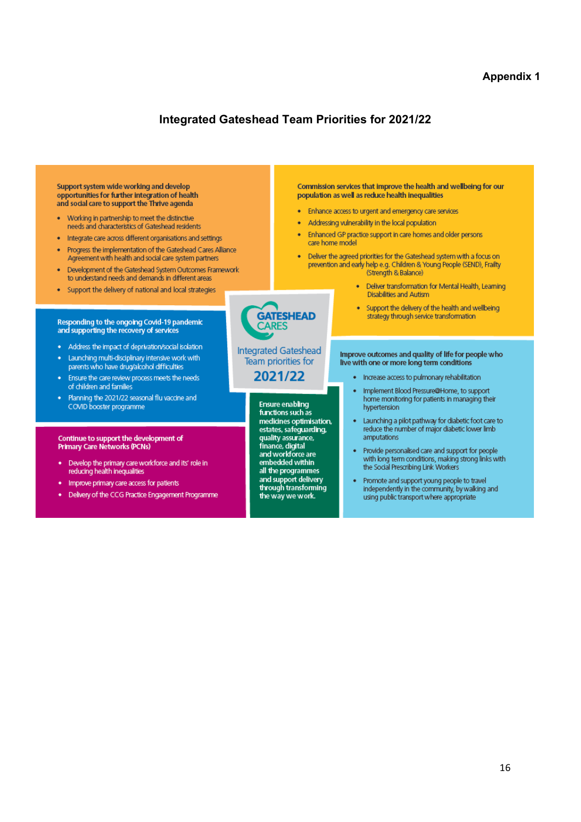#### **Appendix 1**

## **Integrated Gateshead Team Priorities for 2021/22**

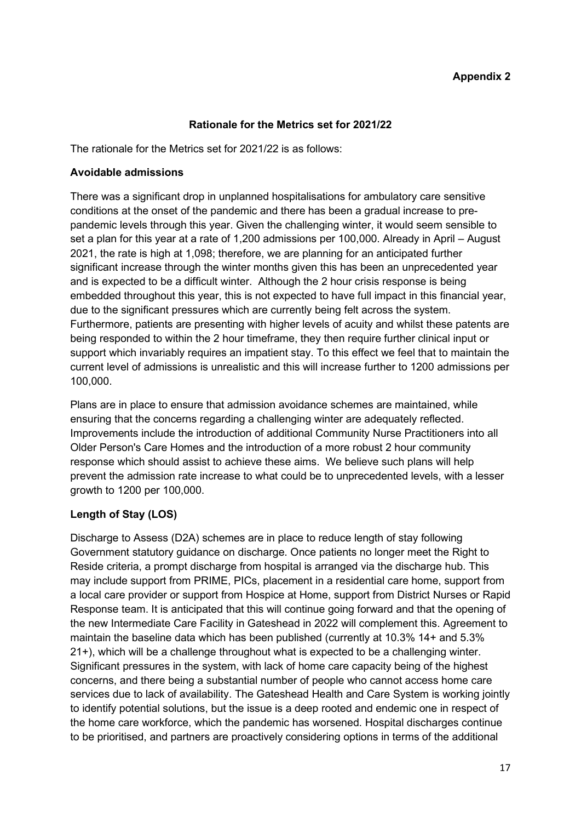#### **Rationale for the Metrics set for 2021/22**

The rationale for the Metrics set for 2021/22 is as follows:

#### **Avoidable admissions**

There was a significant drop in unplanned hospitalisations for ambulatory care sensitive conditions at the onset of the pandemic and there has been a gradual increase to prepandemic levels through this year. Given the challenging winter, it would seem sensible to set a plan for this year at a rate of 1,200 admissions per 100,000. Already in April – August 2021, the rate is high at 1,098; therefore, we are planning for an anticipated further significant increase through the winter months given this has been an unprecedented year and is expected to be a difficult winter. Although the 2 hour crisis response is being embedded throughout this year, this is not expected to have full impact in this financial year, due to the significant pressures which are currently being felt across the system. Furthermore, patients are presenting with higher levels of acuity and whilst these patents are being responded to within the 2 hour timeframe, they then require further clinical input or support which invariably requires an impatient stay. To this effect we feel that to maintain the current level of admissions is unrealistic and this will increase further to 1200 admissions per 100,000.

Plans are in place to ensure that admission avoidance schemes are maintained, while ensuring that the concerns regarding a challenging winter are adequately reflected. Improvements include the introduction of additional Community Nurse Practitioners into all Older Person's Care Homes and the introduction of a more robust 2 hour community response which should assist to achieve these aims. We believe such plans will help prevent the admission rate increase to what could be to unprecedented levels, with a lesser growth to 1200 per 100,000.

## **Length of Stay (LOS)**

Discharge to Assess (D2A) schemes are in place to reduce length of stay following Government statutory guidance on discharge. Once patients no longer meet the Right to Reside criteria, a prompt discharge from hospital is arranged via the discharge hub. This may include support from PRIME, PICs, placement in a residential care home, support from a local care provider or support from Hospice at Home, support from District Nurses or Rapid Response team. It is anticipated that this will continue going forward and that the opening of the new Intermediate Care Facility in Gateshead in 2022 will complement this. Agreement to maintain the baseline data which has been published (currently at 10.3% 14+ and 5.3% 21+), which will be a challenge throughout what is expected to be a challenging winter. Significant pressures in the system, with lack of home care capacity being of the highest concerns, and there being a substantial number of people who cannot access home care services due to lack of availability. The Gateshead Health and Care System is working jointly to identify potential solutions, but the issue is a deep rooted and endemic one in respect of the home care workforce, which the pandemic has worsened. Hospital discharges continue to be prioritised, and partners are proactively considering options in terms of the additional